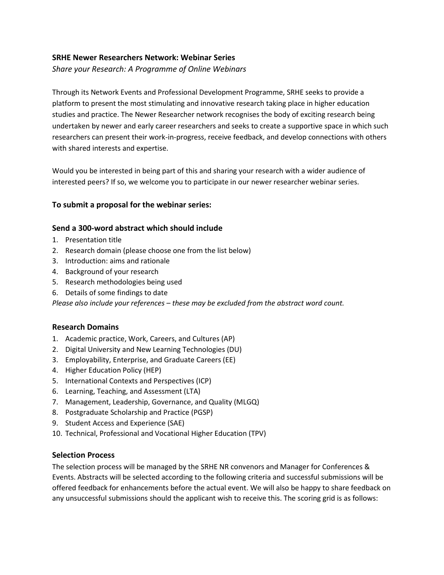# **SRHE Newer Researchers Network: Webinar Series**

*Share your Research: A Programme of Online Webinars*

Through its Network Events and Professional Development Programme, SRHE seeks to provide a platform to present the most stimulating and innovative research taking place in higher education studies and practice. The Newer Researcher network recognises the body of exciting research being undertaken by newer and early career researchers and seeks to create a supportive space in which such researchers can present their work-in-progress, receive feedback, and develop connections with others with shared interests and expertise.

Would you be interested in being part of this and sharing your research with a wider audience of interested peers? If so, we welcome you to participate in our newer researcher webinar series.

### **To submit a proposal for the webinar series:**

### **Send a 300-word abstract which should include**

- 1. Presentation title
- 2. Research domain (please choose one from the list below)
- 3. Introduction: aims and rationale
- 4. Background of your research
- 5. Research methodologies being used
- 6. Details of some findings to date

*Please also include your references – these may be excluded from the abstract word count.*

# **Research Domains**

- 1. Academic practice, Work, Careers, and Cultures (AP)
- 2. Digital University and New Learning Technologies (DU)
- 3. Employability, Enterprise, and Graduate Careers (EE)
- 4. Higher Education Policy (HEP)
- 5. International Contexts and Perspectives (ICP)
- 6. Learning, Teaching, and Assessment (LTA)
- 7. Management, Leadership, Governance, and Quality (MLGQ)
- 8. Postgraduate Scholarship and Practice (PGSP)
- 9. Student Access and Experience (SAE)
- 10. Technical, Professional and Vocational Higher Education (TPV)

#### **Selection Process**

The selection process will be managed by the SRHE NR convenors and Manager for Conferences & Events. Abstracts will be selected according to the following criteria and successful submissions will be offered feedback for enhancements before the actual event. We will also be happy to share feedback on any unsuccessful submissions should the applicant wish to receive this. The scoring grid is as follows: